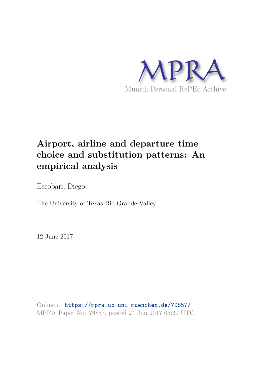

# **Airport, airline and departure time choice and substitution patterns: An empirical analysis**

Escobari, Diego

The University of Texas Rio Grande Valley

12 June 2017

Online at https://mpra.ub.uni-muenchen.de/79857/ MPRA Paper No. 79857, posted 24 Jun 2017 05:29 UTC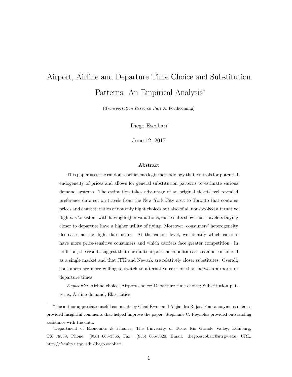# Airport, Airline and Departure Time Choice and Substitution Patterns: An Empirical Analysis<sup>∗</sup>

(Transportation Research Part A, Forthcoming)

Diego Escobari†

June 12, 2017

#### Abstract

This paper uses the random-coefficients logit methodology that controls for potential endogeneity of prices and allows for general substitution patterns to estimate various demand systems. The estimation takes advantage of an original ticket-level revealed preference data set on travels from the New York City area to Toronto that contains prices and characteristics of not only flight choices but also of all non-booked alternative flights. Consistent with having higher valuations, our results show that travelers buying closer to departure have a higher utility of flying. Moreover, consumers' heterogeneity decreases as the flight date nears. At the carrier level, we identify which carriers have more price-sensitive consumers and which carriers face greater competition. In addition, the results suggest that our multi-airport metropolitan area can be considered as a single market and that JFK and Newark are relatively closer substitutes. Overall, consumers are more willing to switch to alternative carriers than between airports or departure times.

Keywords: Airline choice; Airport choice; Departure time choice; Substitution patterns; Airline demand; Elasticities

<sup>∗</sup>The author appreciates useful comments by Chad Kwon and Alejandro Rojas. Four anonymous referees provided insightful comments that helped improve the paper. Stephanie C. Reynolds provided outstanding assistance with the data.

<sup>†</sup>Department of Economics & Finance, The University of Texas Rio Grande Valley, Edinburg, TX 78539, Phone: (956) 665-3366, Fax: (956) 665-5020, Email: diego.escobari@utrgv.edu, URL: http://faculty.utrgv.edu/diego.escobari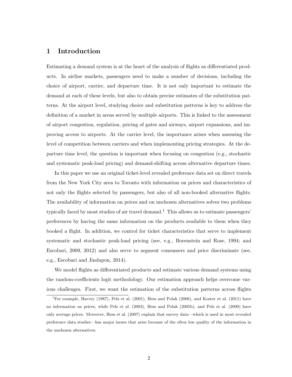#### 1 Introduction

Estimating a demand system is at the heart of the analysis of flights as differentiated products. In airline markets, passengers need to make a number of decisions, including the choice of airport, carrier, and departure time. It is not only important to estimate the demand at each of these levels, but also to obtain precise estimates of the substitution patterns. At the airport level, studying choice and substitution patterns is key to address the definition of a market in areas served by multiple airports. This is linked to the assessment of airport congestion, regulation, pricing of gates and airways, airport expansions, and improving access to airports. At the carrier level, the importance arises when assessing the level of competition between carriers and when implementing pricing strategies. At the departure time level, the question is important when focusing on congestion (e.g., stochastic and systematic peak-load pricing) and demand-shifting across alternative departure times.

In this paper we use an original ticket-level revealed preference data set on direct travels from the New York City area to Toronto with information on prices and characteristics of not only the flights selected by passengers, but also of all non-booked alternative flights. The availability of information on prices and on unchosen alternatives solves two problems typically faced by most studies of air travel demand.<sup>1</sup> This allows us to estimate passengers' preferences by having the same information on the products available to them when they booked a flight. In addition, we control for ticket characteristics that serve to implement systematic and stochastic peak-load pricing (see, e.g., Borenstein and Rose, 1994; and Escobari, 2009, 2012) and also serve to segment consumers and price discriminate (see, e.g., Escobari and Jindapon, 2014).

We model flights as differentiated products and estimate various demand systems using the random-coefficients logit methodology. Our estimation approach helps overcome various challenges. First, we want the estimation of the substitution patterns across flights

<sup>1</sup>For example, Harvey (1987), Pels et al. (2001), Hess and Polak (2006), and Koster et al. (2011) have no information on prices, while Pels et al. (2003), Hess and Polak (2005b), and Pels et al. (2009) have only average prices. Moreover, Hess et al. (2007) explain that survey data—which is used in most revealed preference data studies—has major issues that arise because of the often low quality of the information in the unchosen alternatives.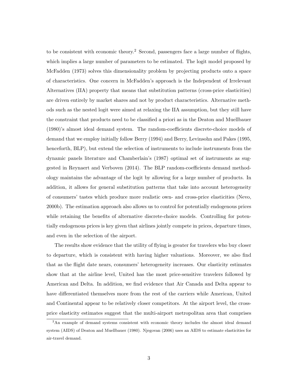to be consistent with economic theory.<sup>2</sup> Second, passengers face a large number of flights, which implies a large number of parameters to be estimated. The logit model proposed by McFadden (1973) solves this dimensionality problem by projecting products onto a space of characteristics. One concern in McFadden's approach is the Independent of Irrelevant Alternatives (IIA) property that means that substitution patterns (cross-price elasticities) are driven entirely by market shares and not by product characteristics. Alternative methods such as the nested logit were aimed at relaxing the IIA assumption, but they still have the constraint that products need to be classified a priori as in the Deaton and Muellbauer (1980)'s almost ideal demand system. The random-coefficients discrete-choice models of demand that we employ initially follow Berry (1994) and Berry, Levinsohn and Pakes (1995, henceforth, BLP), but extend the selection of instruments to include instruments from the dynamic panels literature and Chamberlain's (1987) optimal set of instruments as suggested in Reynaert and Verboven (2014). The BLP random-coefficients demand methodology maintains the advantage of the logit by allowing for a large number of products. In addition, it allows for general substitution patterns that take into account heterogeneity of consumers' tastes which produce more realistic own- and cross-price elasticities (Nevo, 2000b). The estimation approach also allows us to control for potentially endogenous prices while retaining the benefits of alternative discrete-choice models. Controlling for potentially endogenous prices is key given that airlines jointly compete in prices, departure times, and even in the selection of the airport.

The results show evidence that the utility of flying is greater for travelers who buy closer to departure, which is consistent with having higher valuations. Moreover, we also find that as the flight date nears, consumers' heterogeneity increases. Our elasticity estimates show that at the airline level, United has the most price-sensitive travelers followed by American and Delta. In addition, we find evidence that Air Canada and Delta appear to have differentiated themselves more from the rest of the carriers while American, United and Continental appear to be relatively closer competitors. At the airport level, the crossprice elasticity estimates suggest that the multi-airport metropolitan area that comprises

<sup>&</sup>lt;sup>2</sup>An example of demand systems consistent with economic theory includes the almost ideal demand system (AIDS) of Deaton and Muellbauer (1980). Njegovan (2006) uses an AIDS to estimate elasticities for air-travel demand.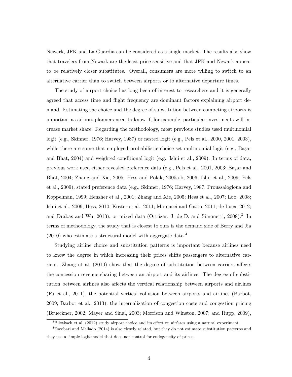Newark, JFK and La Guardia can be considered as a single market. The results also show that travelers from Newark are the least price sensitive and that JFK and Newark appear to be relatively closer substitutes. Overall, consumers are more willing to switch to an alternative carrier than to switch between airports or to alternative departure times.

The study of airport choice has long been of interest to researchers and it is generally agreed that access time and flight frequency are dominant factors explaining airport demand. Estimating the choice and the degree of substitution between competing airports is important as airport planners need to know if, for example, particular investments will increase market share. Regarding the methodology, most previous studies used multinomial logit (e.g., Skinner, 1976; Harvey, 1987) or nested logit (e.g., Pels et al., 2000, 2001, 2003), while there are some that employed probabilistic choice set multinomial logit (e.g., Başar and Bhat, 2004) and weighted conditional logit (e.g., Ishii et al., 2009). In terms of data, previous work used either revealed preference data (e.g., Pels et al., 2001, 2003; Başar and Bhat, 2004; Zhang and Xie, 2005; Hess and Polak, 2005a,b, 2006; Ishii et al., 2009; Pels et al., 2009), stated preference data (e.g., Skinner, 1976; Harvey, 1987; Proussalogloua and Koppelman, 1999; Hensher et al., 2001; Zhang and Xie, 2005; Hess et al., 2007; Loo, 2008; Ishii et al., 2009; Hess, 2010; Koster et al., 2011; Marcucci and Gatta, 2011; de Luca, 2012; and Drabas and Wu, 2013), or mixed data (Ortúzar, J. de D. and Simonetti, 2008).<sup>3</sup> In terms of methodology, the study that is closest to ours is the demand side of Berry and Jia  $(2010)$  who estimate a structural model with aggregate data.<sup>4</sup>

Studying airline choice and substitution patterns is important because airlines need to know the degree in which increasing their prices shifts passengers to alternative carriers. Zhang et al. (2010) show that the degree of substitution between carriers affects the concession revenue sharing between an airport and its airlines. The degree of substitution between airlines also affects the vertical relationship between airports and airlines (Fu et al., 2011), the potential vertical collusion between airports and airlines (Barbot, 2009; Barbot et al., 2013), the internalization of congestion costs and congestion pricing (Brueckner, 2002; Mayer and Sinai, 2003; Morrison and Winston, 2007; and Rupp, 2009),

<sup>3</sup>Bilotkach et al. (2012) study airport choice and its effect on airfares using a natural experiment.

<sup>4</sup>Escobari and Mellado (2014) is also closely related, but they do not estimate substitution patterns and they use a simple logit model that does not control for endogeneity of prices.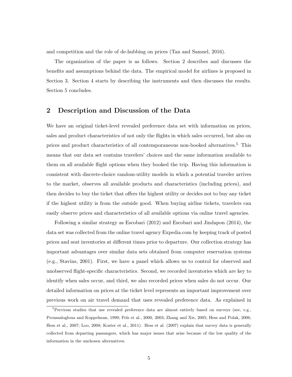and competition and the role of de-hubbing on prices (Tan and Samuel, 2016).

The organization of the paper is as follows. Section 2 describes and discusses the benefits and assumptions behind the data. The empirical model for airlines is proposed in Section 3. Section 4 starts by describing the instruments and then discusses the results. Section 5 concludes.

### 2 Description and Discussion of the Data

We have an original ticket-level revealed preference data set with information on prices, sales and product characteristics of not only the flights in which sales occurred, but also on prices and product characteristics of all contemporaneous non-booked alternatives.<sup>5</sup> This means that our data set contains travelers' choices and the same information available to them on all available flight options when they booked the trip. Having this information is consistent with discrete-choice random-utility models in which a potential traveler arrives to the market, observes all available products and characteristics (including prices), and then decides to buy the ticket that offers the highest utility or decides not to buy any ticket if the highest utility is from the outside good. When buying airline tickets, travelers can easily observe prices and characteristics of all available options via online travel agencies.

Following a similar strategy as Escobari (2012) and Escobari and Jindapon (2014), the data set was collected from the online travel agency Expedia.com by keeping track of posted prices and seat inventories at different times prior to departure. Our collection strategy has important advantages over similar data sets obtained from computer reservation systems (e.g., Stavins, 2001). First, we have a panel which allows us to control for observed and unobserved flight-specific characteristics. Second, we recorded inventories which are key to identify when sales occur, and third, we also recorded prices when sales do not occur. Our detailed information on prices at the ticket level represents an important improvement over previous work on air travel demand that uses revealed preference data. As explained in

<sup>&</sup>lt;sup>5</sup>Previous studies that use revealed preference data are almost entirely based on surveys (see, e.g., Proussalogloua and Koppelman, 1999; Pels et al., 2000, 2003; Zhang and Xie, 2005; Hess and Polak, 2006; Hess et al., 2007; Loo, 2008; Koster et al., 2011). Hess et al. (2007) explain that survey data is generally collected from departing passangers, which has major issues that arise because of the low quality of the information in the unchosen alternatives.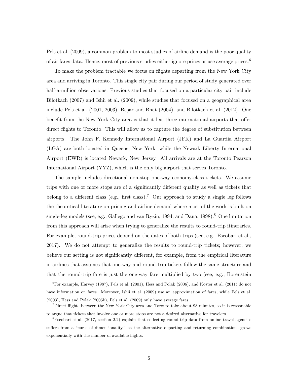Pels et al. (2009), a common problem to most studies of airline demand is the poor quality of air fares data. Hence, most of previous studies either ignore prices or use average prices.<sup>6</sup>

To make the problem tractable we focus on flights departing from the New York City area and arriving in Toronto. This single city pair during our period of study generated over half-a-million observations. Previous studies that focused on a particular city pair include Bilotkach (2007) and Ishii et al. (2009), while studies that focused on a geographical area include Pels et al.  $(2001, 2003)$ , Başar and Bhat  $(2004)$ , and Bilotkach et al.  $(2012)$ . One benefit from the New York City area is that it has three international airports that offer direct flights to Toronto. This will allow us to capture the degree of substitution between airports. The John F. Kennedy International Airport (JFK) and La Guardia Airport (LGA) are both located in Queens, New York, while the Newark Liberty International Airport (EWR) is located Newark, New Jersey. All arrivals are at the Toronto Pearson International Airport (YYZ), which is the only big airport that serves Toronto.

The sample includes directional non-stop one-way economy-class tickets. We assume trips with one or more stops are of a significantly different quality as well as tickets that belong to a different class (e.g., first class).<sup>7</sup> Our approach to study a single leg follows the theoretical literature on pricing and airline demand where most of the work is built on single-leg models (see, e.g., Gallego and van Ryzin, 1994; and Dana, 1998).<sup>8</sup> One limitation from this approach will arise when trying to generalize the results to round-trip itineraries. For example, round-trip prices depend on the dates of both trips (see, e.g., Escobari et al., 2017). We do not attempt to generalize the results to round-trip tickets; however, we believe our setting is not significantly different, for example, from the empirical literature in airlines that assumes that one-way and round-trip tickets follow the same structure and that the round-trip fare is just the one-way fare multiplied by two (see, e.g., Borenstein

 ${}^{6}$ For example, Harvey (1987), Pels et al. (2001), Hess and Polak (2006), and Koster et al. (2011) do not have information on fares. Moreover, Ishii et al. (2009) use an approximation of fares, while Pels et al. (2003), Hess and Polak (2005b), Pels et al. (2009) only have average fares.

<sup>7</sup>Direct flights between the New York City area and Toronto take about 98 minutes, so it is reasonable to argue that tickets that involve one or more stops are not a desired alternative for travelers.

<sup>8</sup>Escobari et al. (2017, section 2.2) explain that collecting round-trip data from online travel agencies suffers from a "curse of dimensionality," as the alternative departing and returning combinations grows exponentially with the number of available flights.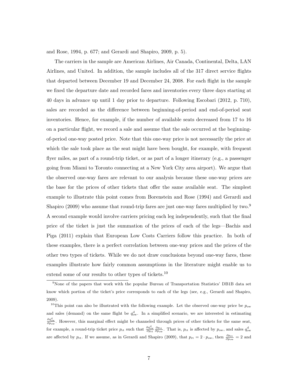and Rose, 1994, p. 677; and Gerardi and Shapiro, 2009, p. 5).

The carriers in the sample are American Airlines, Air Canada, Continental, Delta, LAN Airlines, and United. In addition, the sample includes all of the 317 direct service flights that departed between December 19 and December 24, 2008. For each flight in the sample we fixed the departure date and recorded fares and inventories every three days starting at 40 days in advance up until 1 day prior to departure. Following Escobari (2012, p. 710), sales are recorded as the difference between beginning-of-period and end-of-period seat inventories. Hence, for example, if the number of available seats decreased from 17 to 16 on a particular flight, we record a sale and assume that the sale occurred at the beginningof-period one-way posted price. Note that this one-way price is not necessarily the price at which the sale took place as the seat might have been bought, for example, with frequent flyer miles, as part of a round-trip ticket, or as part of a longer itinerary (e.g., a passenger going from Miami to Toronto connecting at a New York City area airport). We argue that the observed one-way fares are relevant to our analysis because these one-way prices are the base for the prices of other tickets that offer the same available seat. The simplest example to illustrate this point comes from Borenstein and Rose (1994) and Gerardi and Shapiro (2009) who assume that round-trip fares are just one-way fares multiplied by two.<sup>9</sup> A second example would involve carriers pricing each leg independently, such that the final price of the ticket is just the summation of the prices of each of the legs—Bachis and Piga (2011) explain that European Low Costs Carriers follow this practice. In both of these examples, there is a perfect correlation between one-way prices and the prices of the other two types of tickets. While we do not draw conclusions beyond one-way fares, these examples illustrate how fairly common assumptions in the literature might enable us to extend some of our results to other types of tickets.<sup>10</sup>

<sup>9</sup>None of the papers that work with the popular Bureau of Transportation Statistics' DB1B data set know which portion of the ticket's price corresponds to each of the legs (see, e.g., Gerardi and Shapiro, 2009).

<sup>&</sup>lt;sup>10</sup>This point can also be illustrated with the following example. Let the observed one-way price be  $p_{\text{ow}}$ and sales (demand) on the same flight be  $q_{ow}^d$ . In a simplified scenario, we are interested in estimating  $\frac{\partial q_{\text{ow}}^d}{\partial p_{\text{ow}}}$ . However, this marginal effect might be channeled through prices of other tickets for the same seat, for example, a round-trip ticket price  $p_{\text{rt}}$  such that  $\frac{\partial q_{\text{ow}}^d}{\partial p_{\text{rt}}} \frac{\partial p_{\text{rt}}}{\partial p_{\text{ow}}}$ . That is,  $p_{\text{rt}}$  is affected by  $p_{\text{ow}}$ , and sales  $q_{\text{ow}}^d$ are affected by  $p_{\text{rt}}$ . If we assume, as in Gerardi and Shapiro (2009), that  $p_{\text{rt}} = 2 \cdot p_{\text{ow}}$ , then  $\frac{\partial p_{\text{rt}}}{\partial p_{\text{ow}}} = 2$  and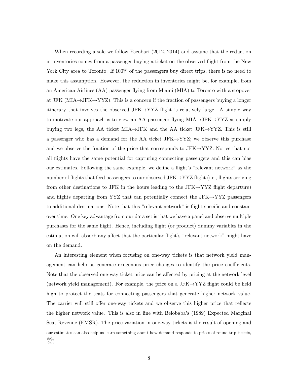When recording a sale we follow Escobari (2012, 2014) and assume that the reduction in inventories comes from a passenger buying a ticket on the observed flight from the New York City area to Toronto. If 100% of the passengers buy direct trips, there is no need to make this assumption. However, the reduction in inventories might be, for example, from an American Airlines (AA) passenger flying from Miami (MIA) to Toronto with a stopover at JFK (MIA $\rightarrow$ JFK $\rightarrow$ YYZ). This is a concern if the fraction of passengers buying a longer itinerary that involves the observed JFK $\rightarrow$ YYZ flight is relatively large. A simple way to motivate our approach is to view an AA passenger flying  $MIA \rightarrow JFK \rightarrow YYZ$  as simply buying two legs, the AA ticket MIA→JFK and the AA ticket JFK→YYZ. This is still a passenger who has a demand for the AA ticket JFK $\rightarrow$ YYZ; we observe this purchase and we observe the fraction of the price that corresponds to JFK $\rightarrow$ YYZ. Notice that not all flights have the same potential for capturing connecting passengers and this can bias our estimates. Following the same example, we define a flight's "relevant network" as the number of flights that feed passengers to our observed  $JFK \rightarrow YYZ$  flight (i.e., flights arriving from other destinations to JFK in the hours leading to the JFK $\rightarrow$ YYZ flight departure) and flights departing from YYZ that can potentially connect the JFK $\rightarrow$ YYZ passengers to additional destinations. Note that this "relevant network" is flight specific and constant over time. One key advantage from our data set is that we have a panel and observe multiple purchases for the same flight. Hence, including flight (or product) dummy variables in the estimation will absorb any affect that the particular flight's "relevant network" might have on the demand.

An interesting element when focusing on one-way tickets is that network yield management can help us generate exogenous price changes to identify the price coefficients. Note that the observed one-way ticket price can be affected by pricing at the network level (network yield management). For example, the price on a JFK $\rightarrow$ YYZ flight could be held high to protect the seats for connecting passengers that generate higher network value. The carrier will still offer one-way tickets and we observe this higher price that reflects the higher network value. This is also in line with Belobaba's (1989) Expected Marginal Seat Revenue (EMSR). The price variation in one-way tickets is the result of opening and

our estimates can also help us learn something about how demand responds to prices of round-trip tickets,  $\frac{\partial q_{\rm{ow}}^{\rm{d}}}{\partial p_{\rm{rt}}}.$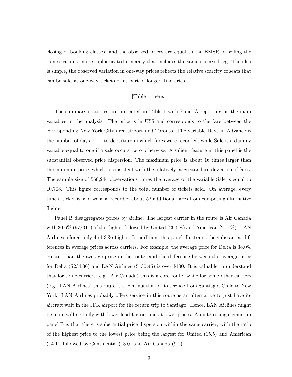closing of booking classes, and the observed prices are equal to the EMSR of selling the same seat on a more sophisticated itinerary that includes the same observed leg. The idea is simple, the observed variation in one-way prices reflects the relative scarcity of seats that can be sold as one-way tickets or as part of longer itineraries.

#### [Table 1, here.]

The summary statistics are presented in Table 1 with Panel A reporting on the main variables in the analysis. The price is in US\$ and corresponds to the fare between the corresponding New York City area airport and Toronto. The variable Days in Advance is the number of days prior to departure in which fares were recorded, while Sale is a dummy variable equal to one if a sale occurs, zero otherwise. A salient feature in this panel is the substantial observed price dispersion. The maximum price is about 16 times larger than the minimum price, which is consistent with the relatively large standard deviation of fares. The sample size of 560,244 observations times the average of the variable Sale is equal to 10,708. This figure corresponds to the total number of tickets sold. On average, every time a ticket is sold we also recorded about 52 additional fares from competing alternative flights.

Panel B disaggregates prices by airline. The largest carrier in the route is Air Canada with  $30.6\%$  (97/317) of the flights, followed by United (26.5%) and American (21.1%). LAN Airlines offered only 4 (1.3%) flights. In addition, this panel illustrates the substantial differences in average prices across carriers. For example, the average price for Delta is 38.0% greater than the average price in the route, and the difference between the average price for Delta (\$234.36) and LAN Airlines (\$130.45) is over \$100. It is valuable to understand that for some carriers (e.g., Air Canada) this is a core route, while for some other carriers (e.g., LAN Airlines) this route is a continuation of its service from Santiago, Chile to New York. LAN Airlines probably offers service in this route as an alternative to just have its aircraft wait in the JFK airport for the return trip to Santiago. Hence, LAN Airlines might be more willing to fly with lower load-factors and at lower prices. An interesting element in panel B is that there is substantial price dispersion within the same carrier, with the ratio of the highest price to the lowest price being the largest for United (15.5) and American (14.1), followed by Continental (13.0) and Air Canada (9.1).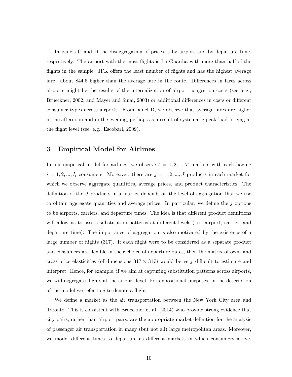In panels C and D the disaggregation of prices is by airport and by departure time, respectively. The airport with the most flights is La Guardia with more than half of the flights in the sample. JFK offers the least number of flights and has the highest average fare—about \$44.6 higher than the average fare in the route. Differences in fares across airports might be the results of the internalization of airport congestion costs (see, e.g., Brueckner, 2002; and Mayer and Sinai, 2003) or additional differences in costs or different consumer types across airports. From panel D, we observe that average fares are higher in the afternoon and in the evening, perhaps as a result of systematic peak-load pricing at the flight level (see, e.g., Escobari, 2009).

## 3 Empirical Model for Airlines

In our empirical model for airlines, we observe  $t = 1, 2, ..., T$  markets with each having  $i = 1, 2, ..., I_t$  consumers. Moreover, there are  $j = 1, 2, ..., J$  products in each market for which we observe aggregate quantities, average prices, and product characteristics. The definition of the J products in a market depends on the level of aggregation that we use to obtain aggregate quantities and average prices. In particular, we define the  $j$  options to be airports, carriers, and departure times. The idea is that different product definitions will allow us to assess substitution patterns at different levels (i.e., airport, carrier, and departure time). The importance of aggregation is also motivated by the existence of a large number of flights (317). If each flight were to be considered as a separate product and consumers are flexible in their choice of departure dates, then the matrix of own- and cross-price elasticities (of dimensions  $317 \times 317$ ) would be very difficult to estimate and interpret. Hence, for example, if we aim at capturing substitution patterns across airports, we will aggregate flights at the airport level. For expositional purposes, in the description of the model we refer to  $j$  to denote a flight.

We define a market as the air transportation between the New York City area and Toronto. This is consistent with Brueckner et al. (2014) who provide strong evidence that city-pairs, rather than airport-pairs, are the appropriate market definition for the analysis of passenger air transportation in many (but not all) large metropolitan areas. Moreover, we model different times to departure as different markets in which consumers arrive,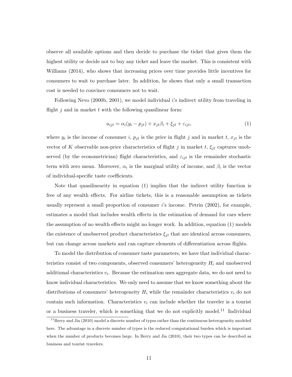observe all available options and then decide to purchase the ticket that gives them the highest utility or decide not to buy any ticket and leave the market. This is consistent with Williams (2014), who shows that increasing prices over time provides little incentives for consumers to wait to purchase later. In addition, he shows that only a small transaction cost is needed to convince consumers not to wait.

Following Nevo (2000b, 2001), we model individual i's indirect utility from traveling in flight  $j$  and in market  $t$  with the following quasilinear form:

$$
u_{ijt} = \alpha_i(y_i - p_{jt}) + x_{jt}\beta_i + \xi_{jt} + \varepsilon_{ijt},
$$
\n(1)

where  $y_i$  is the income of consumer i,  $p_{jt}$  is the price in flight j and in market t,  $x_{jt}$  is the vector of K observable non-price characteristics of flight j in market t,  $\xi_{it}$  captures unobserved (by the econometrician) flight characteristics, and  $\varepsilon_{ijt}$  is the remainder stochastic term with zero mean. Moreover,  $\alpha_i$  is the marginal utility of income, and  $\beta_i$  is the vector of individual-specific taste coefficients.

Note that quasilinearity in equation (1) implies that the indirect utility function is free of any wealth effects. For airline tickets, this is a reasonable assumption as tickets usually represent a small proportion of consumer  $i$ 's income. Petrin (2002), for example, estimates a model that includes wealth effects in the estimation of demand for cars where the assumption of no wealth effects might no longer work. In addition, equation (1) models the existence of unobserved product characteristics  $\xi_{jt}$  that are identical across consumers, but can change across markets and can capture elements of differentiation across flights.

To model the distribution of consumer taste parameters, we have that individual characteristics consist of two components, observed consumers' heterogeneity  $H_i$  and unobserved additional characteristics  $v_i$ . Because the estimation uses aggregate data, we do not need to know individual characteristics. We only need to assume that we know something about the distributions of consumers' heterogeneity  $H_i$  while the remainder characteristics  $v_i$  do not contain such information. Characteristics  $v_i$  can include whether the traveler is a tourist or a business traveler, which is something that we do not explicitly model.<sup>11</sup> Individual

<sup>&</sup>lt;sup>11</sup>Berry and Jia (2010) model a discrete number of types rather than the continuous heterogeneity modeled here. The advantage in a discrete number of types is the reduced computational burden which is important when the number of products becomes large. In Berry and Jia (2010), their two types can be described as business and tourist travelers.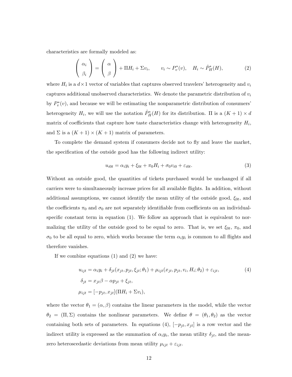characteristics are formally modeled as:

$$
\begin{pmatrix} \alpha_i \\ \beta_i \end{pmatrix} = \begin{pmatrix} \alpha \\ \beta \end{pmatrix} + \Pi H_i + \Sigma v_i, \qquad v_i \sim P_v^*(v), \quad H_i \sim \hat{P}_H^*(H), \tag{2}
$$

where  $H_i$  is a  $d \times 1$  vector of variables that captures observed travelers' heterogeneity and  $v_i$ captures additional unobserved characteristics. We denote the parametric distribution of  $v_i$ by  $P_v^*(v)$ , and because we will be estimating the nonparametric distribution of consumers' heterogeneity  $H_i$ , we will use the notation  $\hat{P}^*_H(H)$  for its distribution.  $\Pi$  is a  $(K+1) \times d$ matrix of coefficients that capture how taste characteristics change with heterogeneity  $H_i$ , and  $\Sigma$  is a  $(K + 1) \times (K + 1)$  matrix of parameters.

To complete the demand system if consumers decide not to fly and leave the market, the specification of the outside good has the following indirect utility:

$$
u_{i0t} = \alpha_i y_i + \xi_{0t} + \pi_0 H_i + \sigma_0 v_{i0} + \varepsilon_{i0t}.
$$
 (3)

Without an outside good, the quantities of tickets purchased would be unchanged if all carriers were to simultaneously increase prices for all available flights. In addition, without additional assumptions, we cannot identify the mean utility of the outside good,  $\xi_{0t}$ , and the coefficients  $\pi_0$  and  $\sigma_0$  are not separately identifiable from coefficients on an individualspecific constant term in equation (1). We follow an approach that is equivalent to normalizing the utility of the outside good to be equal to zero. That is, we set  $\xi_{0t}$ ,  $\pi_0$ , and  $\sigma_0$  to be all equal to zero, which works because the term  $\alpha_i y_i$  is common to all flights and therefore vanishes.

If we combine equations (1) and (2) we have:

$$
u_{ijt} = \alpha_i y_i + \delta_{jt}(x_{jt}, p_{jt}, \xi_{jt}; \theta_1) + \mu_{ijt}(x_{jt}, p_{jt}, v_i, H_i; \theta_2) + \varepsilon_{ijt},
$$
  
\n
$$
\delta_{jt} = x_{jt}\beta - \alpha p_{jt} + \xi_{jt},
$$
  
\n
$$
\mu_{ijt} = [-p_{jt}, x_{jt}](\Pi H_i + \Sigma v_i),
$$
\n(4)

where the vector  $\theta_1 = (\alpha, \beta)$  contains the linear parameters in the model, while the vector  $\theta_2 = (\Pi, \Sigma)$  contains the nonlinear parameters. We define  $\theta = (\theta_1, \theta_2)$  as the vector containing both sets of parameters. In equations (4),  $[-p_{jt}, x_{jt}]$  is a row vector and the indirect utility is expressed as the summation of  $\alpha_i y_i$ , the mean utility  $\delta_{jt}$ , and the meanzero heteroscedastic deviations from mean utility  $\mu_{ijt} + \varepsilon_{ijt}$ .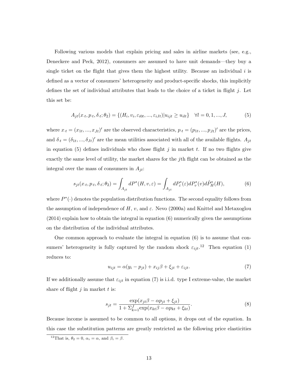Following various models that explain pricing and sales in airline markets (see, e.g., Deneckere and Peck, 2012), consumers are assumed to have unit demands—they buy a single ticket on the flight that gives them the highest utility. Because an individual  $i$  is defined as a vector of consumers' heterogeneity and product-specific shocks, this implicitly defines the set of individual attributes that leads to the choice of a ticket in flight  $j$ . Let this set be:

$$
A_{jt}(x_{\cdot t}, p_{\cdot t}, \delta_{\cdot t}; \theta_2) = \{ (H_i, v_i, \varepsilon_{i0t}, ..., \varepsilon_{iJt}) | u_{ijt} \ge u_{ilt} \} \quad \forall l = 0, 1, ..., J,
$$
 (5)

where  $x_t = (x_{1t}, ..., x_{Jt})'$  are the observed characteristics,  $p_{\cdot t} = (p_{1t}, ..., p_{Jt})'$  are the prices, and  $\delta_t = (\delta_{1t}, ..., \delta_{Jt})'$  are the mean utilities associated with all of the available flights.  $A_{jt}$ in equation (5) defines individuals who chose flight  $j$  in market  $t$ . If no two flights give exactly the same level of utility, the market shares for the jth flight can be obtained as the integral over the mass of consumers in  $A_{it}$ :

$$
s_{jt}(x \cdot t, p \cdot t, \delta \cdot t; \theta_2) = \int_{A_{jt}} dP^*(H, v, \varepsilon) = \int_{A_{jt}} dP^*_{\varepsilon}(\varepsilon) dP^*_{v}(v) d\hat{P}^*_{H}(H), \tag{6}
$$

where  $P^*(\cdot)$  denotes the population distribution functions. The second equality follows from the assumption of independence of H, v, and  $\varepsilon$ . Nevo (2000a) and Knittel and Metaxoglou  $(2014)$  explain how to obtain the integral in equation  $(6)$  numerically given the assumptions on the distribution of the individual attributes.

One common approach to evaluate the integral in equation (6) is to assume that consumers' heterogeneity is fully captured by the random shock  $\varepsilon_{ijt}$ <sup>12</sup>. Then equation (1) reduces to:

$$
u_{ijt} = \alpha(y_i - p_{jt}) + x_{ij}\beta + \xi_{jt} + \varepsilon_{ijt}.
$$
\n(7)

If we additionally assume that  $\varepsilon_{ijt}$  in equation (7) is i.i.d. type I extreme-value, the market share of flight  $j$  in market  $t$  is:

$$
s_{jt} = \frac{\exp(x_{jt}\beta - \alpha p_{jt} + \xi_{jt})}{1 + \sum_{k=1}^{J} \exp(x_{kt}\beta - \alpha p_{kt} + \xi_{kt})}.
$$
\n(8)

Because income is assumed to be common to all options, it drops out of the equation. In this case the substitution patterns are greatly restricted as the following price elasticities

<sup>&</sup>lt;sup>12</sup>That is,  $\theta_2 = 0$ ,  $\alpha_i = \alpha$ , and  $\beta_i = \beta$ .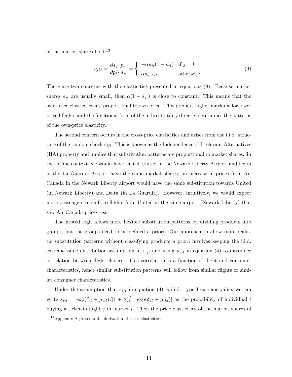of the market shares hold:<sup>13</sup>

$$
\eta_{jkt} = \frac{\partial s_{jt}}{\partial p_{kt}} \frac{p_{kt}}{s_{jt}} = \begin{cases}\n-\alpha p_{jt} (1 - s_{jt}) & \text{if } j = k \\
\alpha p_{kt} s_{kt} & \text{otherwise.} \n\end{cases}
$$
\n(9)

There are two concerns with the elasticities presented in equations (9). Because market shares  $s_{jt}$  are usually small, then  $\alpha(1-s_{jt})$  is close to constant. This means that the own-price elasticities are proportional to own price. This predicts higher markups for lower priced flights and the functional form of the indirect utility directly determines the patterns of the own-price elasticity.

The second concern occurs in the cross-price elasticities and arises from the i.i.d. structure of the random shock  $\varepsilon_{ijt}$ . This is known as the Independence of Irrelevant Alternatives (IIA) property and implies that substitution patterns are proportional to market shares. In the airline context, we would have that if United in the Newark Liberty Airport and Delta in the La Guardia Airport have the same market shares, an increase in prices from Air Canada in the Newark Liberty airport would have the same substitution towards United (in Newark Liberty) and Delta (in La Guardia). However, intuitively, we would expect more passengers to shift to flights from United in the same airport (Newark Liberty) that saw Air Canada prices rise.

The nested logit allows more flexible substitution patterns by dividing products into groups, but the groups need to be defined a priori. Our approach to allow more realistic substitution patterns without classifying products a priori involves keeping the i.i.d. extreme-value distribution assumption in  $\varepsilon_{ijt}$  and using  $\mu_{ijt}$  in equation (4) to introduce correlation between flight choices. This correlation is a function of flight and consumer characteristics, hence similar substitution patterns will follow from similar flights or similar consumer characteristics.

Under the assumption that  $\varepsilon_{ijt}$  in equation (4) is i.i.d. type I extreme-value, we can write  $s_{ijt} = \exp(\delta_{jt} + \mu_{ijt})/[1 + \sum_{k=1}^{J} \exp(\delta_{kt} + \mu_{ikt})]$  as the probability of individual i buying a ticket in flight  $j$  in market  $t$ . Then the price elasticities of the market shares of

<sup>13</sup>Appendix A presents the derivation of these elasticities.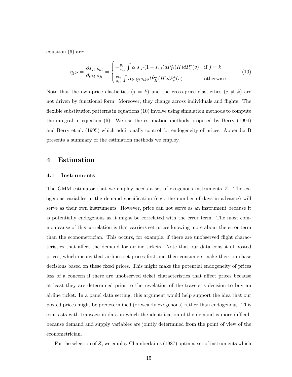equation (6) are:

$$
\eta_{jkt} = \frac{\partial s_{jt}}{\partial p_{kt}} \frac{p_{kt}}{s_{jt}} = \begin{cases} -\frac{p_{jt}}{s_{jt}} \int \alpha_i s_{ijt} (1 - s_{ijt}) d\hat{P}_H^*(H) dP_v^*(v) & \text{if } j = k\\ \frac{p_{kt}}{s_{jt}} \int \alpha_i s_{ijt} s_{ikt} d\hat{P}_H^*(H) dP_v^*(v) & \text{otherwise.} \end{cases}
$$
(10)

Note that the own-price elasticities  $(j = k)$  and the cross-price elasticities  $(j \neq k)$  are not driven by functional form. Moreover, they change across individuals and flights. The flexible substitution patterns in equations (10) involve using simulation methods to compute the integral in equation (6). We use the estimation methods proposed by Berry (1994) and Berry et al. (1995) which additionally control for endogeneity of prices. Appendix B presents a summary of the estimation methods we employ.

#### 4 Estimation

#### 4.1 Instruments

The GMM estimator that we employ needs a set of exogenous instruments Z. The exogenous variables in the demand specification (e.g., the number of days in advance) will serve as their own instruments. However, price can not serve as an instrument because it is potentially endogenous as it might be correlated with the error term. The most common cause of this correlation is that carriers set prices knowing more about the error term than the econometrician. This occurs, for example, if there are unobserved flight characteristics that affect the demand for airline tickets. Note that our data consist of posted prices, which means that airlines set prices first and then consumers make their purchase decisions based on these fixed prices. This might make the potential endogeneity of prices less of a concern if there are unobserved ticket characteristics that affect prices because at least they are determined prior to the revelation of the traveler's decision to buy an airline ticket. In a panel data setting, this argument would help support the idea that our posted prices might be predetermined (or weakly exogenous) rather than endogenous. This contrasts with transaction data in which the identification of the demand is more difficult because demand and supply variables are jointly determined from the point of view of the econometrician.

For the selection of  $Z$ , we employ Chamberlain's (1987) optimal set of instruments which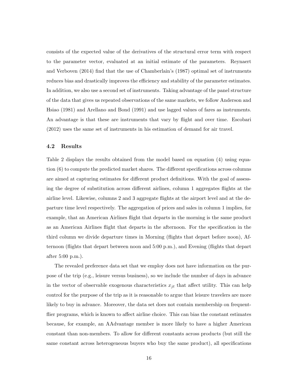consists of the expected value of the derivatives of the structural error term with respect to the parameter vector, evaluated at an initial estimate of the parameters. Reynaert and Verboven (2014) find that the use of Chamberlain's (1987) optimal set of instruments reduces bias and drastically improves the efficiency and stability of the parameter estimates. In addition, we also use a second set of instruments. Taking advantage of the panel structure of the data that gives us repeated observations of the same markets, we follow Anderson and Hsiao (1981) and Arellano and Bond (1991) and use lagged values of fares as instruments. An advantage is that these are instruments that vary by flight and over time. Escobari (2012) uses the same set of instruments in his estimation of demand for air travel.

#### 4.2 Results

Table 2 displays the results obtained from the model based on equation (4) using equation (6) to compute the predicted market shares. The different specifications across columns are aimed at capturing estimates for different product definitions. With the goal of assessing the degree of substitution across different airlines, column 1 aggregates flights at the airline level. Likewise, columns 2 and 3 aggregate flights at the airport level and at the departure time level respectively. The aggregation of prices and sales in column 1 implies, for example, that an American Airlines flight that departs in the morning is the same product as an American Airlines flight that departs in the afternoon. For the specification in the third column we divide departure times in Morning (flights that depart before noon), Afternoon (flights that depart between noon and 5:00 p.m.), and Evening (flights that depart after 5:00 p.m.).

The revealed preference data set that we employ does not have information on the purpose of the trip (e.g., leisure versus business), so we include the number of days in advance in the vector of observable exogenous characteristics  $x_{it}$  that affect utility. This can help control for the purpose of the trip as it is reasonable to argue that leisure travelers are more likely to buy in advance. Moreover, the data set does not contain membership on frequentflier programs, which is known to affect airline choice. This can bias the constant estimates because, for example, an AAdvantage member is more likely to have a higher American constant than non-members. To allow for different constants across products (but still the same constant across heterogeneous buyers who buy the same product), all specifications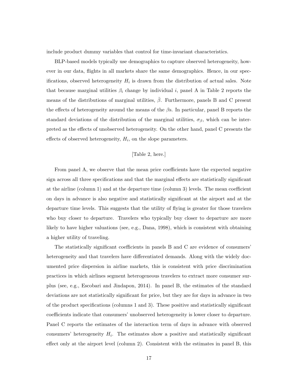include product dummy variables that control for time-invariant characteristics.

BLP-based models typically use demographics to capture observed heterogeneity, however in our data, flights in all markets share the same demographics. Hence, in our specifications, observed heterogeneity  $H_i$  is drawn from the distribution of actual sales. Note that because marginal utilities  $\beta_i$  change by individual i, panel A in Table 2 reports the means of the distributions of marginal utilities,  $\beta$ . Furthermore, panels B and C present the effects of heterogeneity around the means of the  $\beta$ s. In particular, panel B reports the standard deviations of the distribution of the marginal utilities,  $\sigma_{\beta}$ , which can be interpreted as the effects of unobserved heterogeneity. On the other hand, panel C presents the effects of observed heterogeneity,  $H_i$ , on the slope parameters.

#### [Table 2, here.]

From panel A, we observe that the mean price coefficients have the expected negative sign across all three specifications and that the marginal effects are statistically significant at the airline (column 1) and at the departure time (column 3) levels. The mean coefficient on days in advance is also negative and statistically significant at the airport and at the departure time levels. This suggests that the utility of flying is greater for those travelers who buy closer to departure. Travelers who typically buy closer to departure are more likely to have higher valuations (see, e.g., Dana, 1998), which is consistent with obtaining a higher utility of traveling.

The statistically significant coefficients in panels B and C are evidence of consumers' heterogeneity and that travelers have differentiated demands. Along with the widely documented price dispersion in airline markets, this is consistent with price discrimination practices in which airlines segment heterogeneous travelers to extract more consumer surplus (see, e.g., Escobari and Jindapon, 2014). In panel B, the estimates of the standard deviations are not statistically significant for price, but they are for days in advance in two of the product specifications (columns 1 and 3). These positive and statistically significant coefficients indicate that consumers' unobserved heterogeneity is lower closer to departure. Panel C reports the estimates of the interaction term of days in advance with observed consumers' heterogeneity  $H_i$ . The estimates show a positive and statistically significant effect only at the airport level (column 2). Consistent with the estimates in panel B, this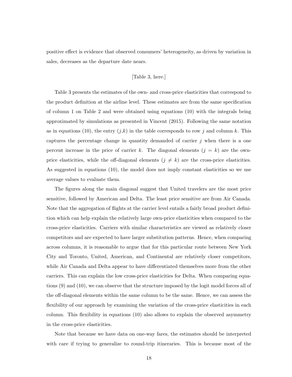positive effect is evidence that observed consumers' heterogeneity, as driven by variation in sales, decreases as the departure date nears.

#### [Table 3, here.]

Table 3 presents the estimates of the own- and cross-price elasticities that correspond to the product definition at the airline level. These estimates are from the same specification of column 1 on Table 2 and were obtained using equations (10) with the integrals being approximated by simulations as presented in Vincent (2015). Following the same notation as in equations (10), the entry  $(j,k)$  in the table corresponds to row j and column k. This captures the percentage change in quantity demanded of carrier j when there is a one percent increase in the price of carrier k. The diagonal elements  $(j = k)$  are the ownprice elasticities, while the off-diagonal elements  $(j \neq k)$  are the cross-price elasticities. As suggested in equations (10), the model does not imply constant elasticities so we use average values to evaluate them.

The figures along the main diagonal suggest that United travelers are the most price sensitive, followed by American and Delta. The least price sensitive are from Air Canada. Note that the aggregation of flights at the carrier level entails a fairly broad product definition which can help explain the relatively large own-price elasticities when compared to the cross-price elasticities. Carriers with similar characteristics are viewed as relatively closer competitors and are expected to have larger substitution patterns. Hence, when comparing across columns, it is reasonable to argue that for this particular route between New York City and Toronto, United, American, and Continental are relatively closer competitors, while Air Canada and Delta appear to have differentiated themselves more from the other carriers. This can explain the low cross-price elasticities for Delta. When comparing equations (9) and (10), we can observe that the structure imposed by the logit model forces all of the off-diagonal elements within the same column to be the same. Hence, we can assess the flexibility of our approach by examining the variation of the cross-price elasticities in each column. This flexibility in equations (10) also allows to explain the observed asymmetry in the cross-price elasticities.

Note that because we have data on one-way fares, the estimates should be interpreted with care if trying to generalize to round-trip itineraries. This is because most of the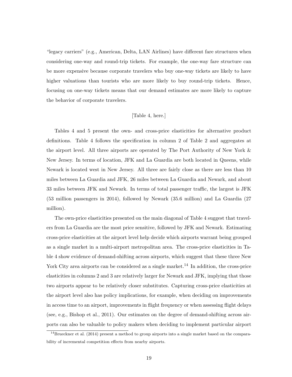"legacy carriers" (e.g., American, Delta, LAN Airlines) have different fare structures when considering one-way and round-trip tickets. For example, the one-way fare structure can be more expensive because corporate travelers who buy one-way tickets are likely to have higher valuations than tourists who are more likely to buy round-trip tickets. Hence, focusing on one-way tickets means that our demand estimates are more likely to capture the behavior of corporate travelers.

#### [Table 4, here.]

Tables 4 and 5 present the own- and cross-price elasticities for alternative product definitions. Table 4 follows the specification in column 2 of Table 2 and aggregates at the airport level. All three airports are operated by The Port Authority of New York & New Jersey. In terms of location, JFK and La Guardia are both located in Queens, while Newark is located west in New Jersey. All three are fairly close as there are less than 10 miles between La Guardia and JFK, 26 miles between La Guardia and Newark, and about 33 miles between JFK and Newark. In terms of total passenger traffic, the largest is JFK (53 million passengers in 2014), followed by Newark (35.6 million) and La Guardia (27 million).

The own-price elasticities presented on the main diagonal of Table 4 suggest that travelers from La Guardia are the most price sensitive, followed by JFK and Newark. Estimating cross-price elasticities at the airport level help decide which airports warrant being grouped as a single market in a multi-airport metropolitan area. The cross-price elasticities in Table 4 show evidence of demand-shifting across airports, which suggest that these three New York City area airports can be considered as a single market.<sup>14</sup> In addition, the cross-price elasticities in columns 2 and 3 are relatively larger for Newark and JFK, implying that those two airports appear to be relatively closer substitutes. Capturing cross-price elasticities at the airport level also has policy implications, for example, when deciding on improvements in access time to an airport, improvements in flight frequency or when assessing flight delays (see, e.g., Bishop et al., 2011). Our estimates on the degree of demand-shifting across airports can also be valuable to policy makers when deciding to implement particular airport

 $14$ Brueckner et al. (2014) present a method to group airports into a single market based on the comparability of incremental competition effects from nearby airports.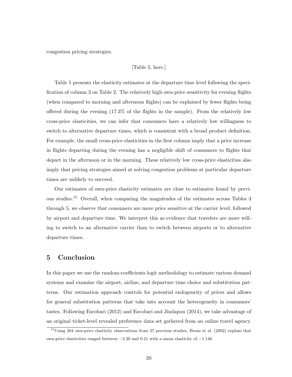congestion pricing strategies.

#### [Table 5, here.]

Table 5 presents the elasticity estimates at the departure time level following the specification of column 3 on Table 2. The relatively high own-price sensitivity for evening flights (when compared to morning and afternoon flights) can be explained by fewer flights being offered during the evening (17.3% of the flights in the sample). From the relatively low cross-price elasticities, we can infer that consumers have a relatively low willingness to switch to alternative departure times, which is consistent with a broad product definition. For example, the small cross-price elasticities in the first column imply that a price increase in flights departing during the evening has a negligible shift of consumers to flights that depart in the afternoon or in the morning. These relatively low cross-price elasticities also imply that pricing strategies aimed at solving congestion problems at particular departure times are unlikely to succeed.

Our estimates of own-price elasticity estimates are close to estimates found by previous studies.<sup>15</sup> Overall, when comparing the magnitudes of the estimates across Tables 3 through 5, we observe that consumers are more price sensitive at the carrier level, followed by airport and departure time. We interpret this as evidence that travelers are more willing to switch to an alternative carrier than to switch between airports or to alternative departure times.

## 5 Conclusion

In this paper we use the random-coefficients logit methodology to estimate various demand systems and examine the airport, airline, and departure time choice and substitution patterns. Our estimation approach controls for potential endogeneity of prices and allows for general substitution patterns that take into account the heterogeneity in consumers' tastes. Following Escobari (2012) and Escobari and Jindapon (2014), we take advantage of an original ticket-level revealed preference data set gathered from an online travel agency.

<sup>&</sup>lt;sup>15</sup>Using 204 own-price elasticity observations from 37 previous studies, Brons et al. (2002) explain that own-price elasticities ranged between −3.20 and 0.21 with a mean elasticity of −1.146.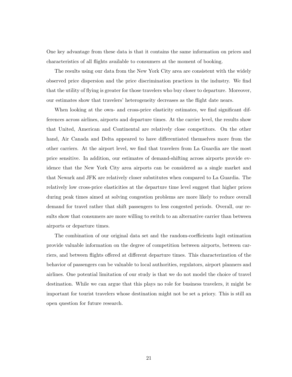One key advantage from these data is that it contains the same information on prices and characteristics of all flights available to consumers at the moment of booking.

The results using our data from the New York City area are consistent with the widely observed price dispersion and the price discrimination practices in the industry. We find that the utility of flying is greater for those travelers who buy closer to departure. Moreover, our estimates show that travelers' heterogeneity decreases as the flight date nears.

When looking at the own- and cross-price elasticity estimates, we find significant differences across airlines, airports and departure times. At the carrier level, the results show that United, American and Continental are relatively close competitors. On the other hand, Air Canada and Delta appeared to have differentiated themselves more from the other carriers. At the airport level, we find that travelers from La Guardia are the most price sensitive. In addition, our estimates of demand-shifting across airports provide evidence that the New York City area airports can be considered as a single market and that Newark and JFK are relatively closer substitutes when compared to La Guardia. The relatively low cross-price elasticities at the departure time level suggest that higher prices during peak times aimed at solving congestion problems are more likely to reduce overall demand for travel rather that shift passengers to less congested periods. Overall, our results show that consumers are more willing to switch to an alternative carrier than between airports or departure times.

The combination of our original data set and the random-coefficients logit estimation provide valuable information on the degree of competition between airports, between carriers, and between flights offered at different departure times. This characterization of the behavior of passengers can be valuable to local authorities, regulators, airport planners and airlines. One potential limitation of our study is that we do not model the choice of travel destination. While we can argue that this plays no role for business travelers, it might be important for tourist travelers whose destination might not be set a priory. This is still an open question for future research.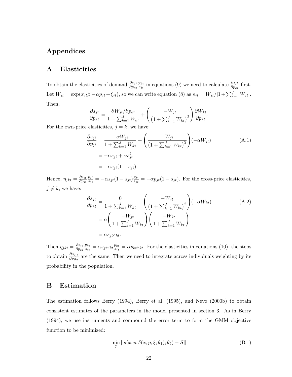## Appendices

## A Elasticities

To obtain the elasticities of demand  $\frac{\partial s_{jt}}{\partial p_{kt}}$  $p_{kt}$  $\frac{p_{kt}}{s_{jt}}$  in equations (9) we need to calculate  $\frac{\partial s_{jt}}{\partial p_{kt}}$  first. Let  $W_{jt} = \exp(x_{jt}\beta - \alpha p_{jt} + \xi_{jt})$ , so we can write equation (8) as  $s_{jt} = W_{jt}/[1 + \sum_{k=1}^{J} W_{jt}]$ . Then,

$$
\frac{\partial s_{jt}}{\partial p_{kt}} = \frac{\partial W_{jt}}{1 + \sum_{k=1}^{J} W_{kt}} + \left(\frac{-W_{jt}}{\left(1 + \sum_{k=1}^{J} W_{kt}\right)^2}\right) \frac{\partial W_{kt}}{\partial p_{kt}}.
$$

For the own-price elasticities,  $j = k$ , we have:

$$
\frac{\partial s_{jt}}{\partial p_{jt}} = \frac{-\alpha W_{jt}}{1 + \sum_{k=1}^{J} W_{kt}} + \left(\frac{-W_{jt}}{\left(1 + \sum_{k=1}^{J} W_{kt}\right)^2}\right) \left(-\alpha W_{jt}\right)
$$
\n
$$
= -\alpha s_{jt} + \alpha s_{jt}^2
$$
\n
$$
= -\alpha s_{jt} (1 - s_{jt})
$$
\n(A.1)

Hence,  $\eta_{jkt} = \frac{\partial s_{it}}{\partial p_{it}}$  $\overline{\partial p_{jt}}$ pjt  $\frac{p_{jt}}{s_{jt}} = -\alpha s_{jt} (1-s_{jt}) \frac{p_{jt}}{s_{jt}}$  $s_{ji} = -\alpha p_{jt} (1 - s_{jt})$ . For the cross-price elasticities,  $j \neq k$ , we have:

$$
\frac{\partial s_{jt}}{\partial p_{kt}} = \frac{0}{1 + \sum_{k=1}^{J} W_{kt}} + \left( \frac{-W_{jt}}{\left(1 + \sum_{k=1}^{J} W_{kt}\right)^2} \right) (-\alpha W_{kt})
$$
\n
$$
= \alpha \left( \frac{-W_{jt}}{1 + \sum_{k=1}^{J} W_{kt}} \right) \left( \frac{-W_{kt}}{1 + \sum_{k=1}^{J} W_{kt}} \right)
$$
\n
$$
= \alpha s_{jt} s_{kt}.
$$
\n(A.2)

Then  $\eta_{jkt} = \frac{\partial s_{it}}{\partial p_{kt}}$  $\partial p_{kt}$  $p_{kt}$  $\frac{p_{kt}}{s_{jt}} = \alpha s_{jt} s_{kt} \frac{p_{kt}}{s_{jt}}$  $\frac{p_{kt}}{s_{jt}} = \alpha p_{kt} s_{kt}$ . For the elasticities in equations (10), the steps to obtain  $\frac{\partial s_{ijt}}{\partial p_{ikt}}$  are the same. Then we need to integrate across individuals weighting by its probability in the population.

## B Estimation

The estimation follows Berry (1994), Berry et al. (1995), and Nevo (2000b) to obtain consistent estimates of the parameters in the model presented in section 3. As in Berry (1994), we use instruments and compound the error term to form the GMM objective function to be minimized:

$$
\min_{\theta} ||s(x, p, \delta(x, p, \xi; \theta_1); \theta_2) - S||
$$
\n(B.1)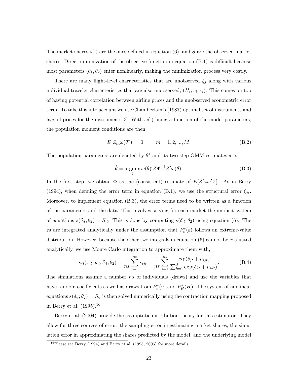The market shares  $s(.)$  are the ones defined in equation (6), and S are the observed market shares. Direct minimization of the objective function in equation (B.1) is difficult because most parameters  $(\theta_1, \theta_2)$  enter nonlinearly, making the minimization process very costly.

There are many flight-level characteristics that are unobserved  $\xi_j$  along with various individual traveler characteristics that are also unobserved,  $(H_i, v_i, \varepsilon_i)$ . This comes on top of having potential correlation between airline prices and the unobserved econometric error term. To take this into account we use Chamberlain's (1987) optimal set of instruments and lags of prices for the instruments Z. With  $\omega(\cdot)$  being a function of the model parameters, the population moment conditions are then:

$$
E[Z_m \omega(\theta^*)] = 0, \qquad m = 1, 2, ..., M,
$$
 (B.2)

The population parameters are denoted by  $\theta^*$  and its two-step GMM estimates are:

$$
\hat{\theta} = \underset{\theta}{\operatorname{argmin}} \,\omega(\theta)' Z \Phi^{-1} Z' \omega(\theta). \tag{B.3}
$$

In the first step, we obtain  $\Phi$  as the (consistent) estimate of  $E[Z'\omega\omega'Z]$ . As in Berry (1994), when defining the error term in equation (B.1), we use the structural error  $\xi_{jt}$ . Moreover, to implement equation (B.3), the error terms need to be written as a function of the parameters and the data. This involves solving for each market the implicit system of equations  $s(\delta_t; \theta_2) = S_t$ . This is done by computing  $s(\delta_t; \theta_2)$  using equation (6). The  $\varepsilon$ s are integrated analytically under the assumption that  $P_{\varepsilon}^*(\varepsilon)$  follows an extreme-value distribution. However, because the other two integrals in equation (6) cannot be evaluated analytically, we use Monte Carlo integration to approximate them with,

$$
s_{jt}(x_t, p_t, \delta_t; \theta_2) = \frac{1}{ns} \sum_{i=1}^{ns} s_{ijt} = \frac{1}{ns} \sum_{i=1}^{ns} \frac{\exp(\delta_{jt} + \mu_{ijt})}{\sum_{k=1}^{J} \exp(\delta_{kt} + \mu_{ikt})}.
$$
 (B.4)

The simulations assume a number ns of individuals (draws) and use the variables that have random coefficients as well as draws from  $\hat{P}^*_{v}(v)$  and  $P^*_{H}(H)$ . The system of nonlinear equations  $s(\delta_t; \theta_2) = S_t$  is then solved numerically using the contraction mapping proposed in Berry et al.  $(1995).^{16}$ 

Berry et al. (2004) provide the asymptotic distribution theory for this estimator. They allow for three sources of error: the sampling error in estimating market shares, the simulation error in approximating the shares predicted by the model, and the underlying model

 $16P$ lease see Berry (1994) and Berry et al. (1995, 2006) for more details.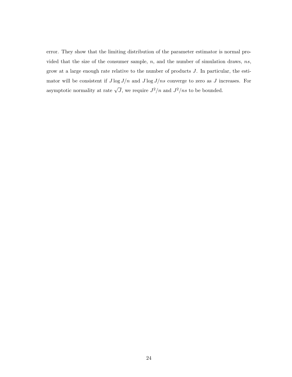error. They show that the limiting distribution of the parameter estimator is normal provided that the size of the consumer sample,  $n$ , and the number of simulation draws,  $ns$ , grow at a large enough rate relative to the number of products J. In particular, the estimator will be consistent if  $J \log J/n$  and  $J \log J/ns$  converge to zero as J increases. For asymptotic normality at rate  $\sqrt{J}$ , we require  $J^2/n$  and  $J^2(ns)$  to be bounded.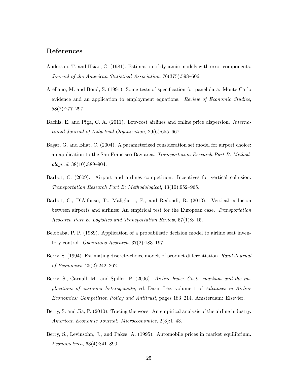## References

- Anderson, T. and Hsiao, C. (1981). Estimation of dynamic models with error components. Journal of the American Statistical Association, 76(375):598–606.
- Arellano, M. and Bond, S. (1991). Some tests of specification for panel data: Monte Carlo evidence and an application to employment equations. Review of Economic Studies, 58(2):277–297.
- Bachis, E. and Piga, C. A. (2011). Low-cost airlines and online price dispersion. International Journal of Industrial Organization, 29(6):655–667.
- Başar, G. and Bhat, C. (2004). A parameterized consideration set model for airport choice: an application to the San Francisco Bay area. Transportation Research Part B: Methodological, 38(10):889–904.
- Barbot, C. (2009). Airport and airlines competition: Incentives for vertical collusion. Transportation Research Part B: Methodological, 43(10):952–965.
- Barbot, C., D'Alfonso, T., Malighetti, P., and Redondi, R. (2013). Vertical collusion between airports and airlines: An empirical test for the European case. Transportation Research Part E: Logistics and Transportation Review, 57(1):3–15.
- Belobaba, P. P. (1989). Application of a probabilistic decision model to airline seat inventory control. Operations Research, 37(2):183–197.
- Berry, S. (1994). Estimating discrete-choice models of product differentiation. Rand Journal of Economics, 25(2):242–262.
- Berry, S., Carnall, M., and Spiller, P. (2006). Airline hubs: Costs, markups and the implications of customer heterogeneity, ed. Darin Lee, volume 1 of Advances in Airline Economics: Competition Policy and Antitrust, pages 183–214. Amsterdam: Elsevier.
- Berry, S. and Jia, P. (2010). Tracing the woes: An empirical analysis of the airline industry. American Economic Journal: Microeconomics, 2(3):1–43.
- Berry, S., Levinsohn, J., and Pakes, A. (1995). Automobile prices in market equilibrium. Econometrica, 63(4):841–890.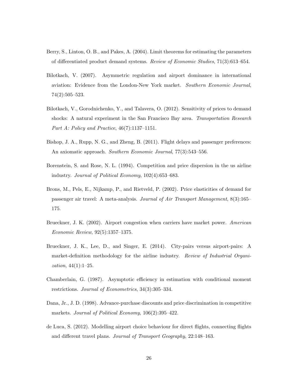- Berry, S., Linton, O. B., and Pakes, A. (2004). Limit theorems for estimating the parameters of differentiated product demand systems. Review of Economic Studies, 71(3):613–654.
- Bilotkach, V. (2007). Asymmetric regulation and airport dominance in international aviation: Evidence from the London-New York market. Southern Economic Journal, 74(2):505–523.
- Bilotkach, V., Gorodnichenko, Y., and Talavera, O. (2012). Sensitivity of prices to demand shocks: A natural experiment in the San Francisco Bay area. Transportation Research Part A: Policy and Practice, 46(7):1137–1151.
- Bishop, J. A., Rupp, N. G., and Zheng, B. (2011). Flight delays and passenger preferences: An axiomatic approach. Southern Economic Journal, 77(3):543–556.
- Borenstein, S. and Rose, N. L. (1994). Competition and price dispersion in the us airline industry. Journal of Political Economy, 102(4):653–683.
- Brons, M., Pels, E., Nijkamp, P., and Rietveld, P. (2002). Price elasticities of demand for passenger air travel: A meta-analysis. Journal of Air Transport Management, 8(3):165– 175.
- Brueckner, J. K. (2002). Airport congestion when carriers have market power. American Economic Review, 92(5):1357–1375.
- Brueckner, J. K., Lee, D., and Singer, E. (2014). City-pairs versus airport-pairs: A market-definition methodology for the airline industry. Review of Industrial Organi*zation*,  $44(1):1-25$ .
- Chamberlain, G. (1987). Asymptotic efficiency in estimation with conditional moment restrictions. Journal of Econometrics, 34(3):305–334.
- Dana, Jr., J. D. (1998). Advance-purchase discounts and price discrimination in competitive markets. Journal of Political Economy, 106(2):395–422.
- de Luca, S. (2012). Modelling airport choice behaviour for direct flights, connecting flights and different travel plans. Journal of Transport Geography, 22:148–163.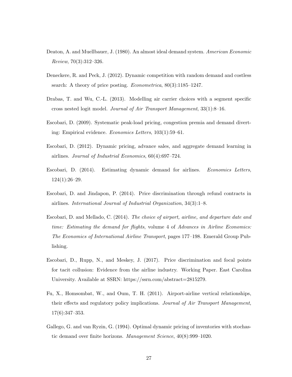- Deaton, A. and Muellbauer, J. (1980). An almost ideal demand system. American Economic Review, 70(3):312–326.
- Deneckere, R. and Peck, J. (2012). Dynamic competition with random demand and costless search: A theory of price posting. *Econometrica*,  $80(3):1185-1247$ .
- Drabas, T. and Wu, C.-L. (2013). Modelling air carrier choices with a segment specific cross nested logit model. Journal of Air Transport Management,  $33(1)$ :8-16.
- Escobari, D. (2009). Systematic peak-load pricing, congestion premia and demand diverting: Empirical evidence. Economics Letters, 103(1):59–61.
- Escobari, D. (2012). Dynamic pricing, advance sales, and aggregate demand learning in airlines. Journal of Industrial Economics, 60(4):697–724.
- Escobari, D. (2014). Estimating dynamic demand for airlines. Economics Letters, 124(1):26–29.
- Escobari, D. and Jindapon, P. (2014). Price discrimination through refund contracts in airlines. International Journal of Industrial Organization, 34(3):1–8.
- Escobari, D. and Mellado, C. (2014). The choice of airport, airline, and departure date and time: Estimating the demand for flights, volume 4 of Advances in Airline Economics: The Economics of International Airline Transport, pages 177–198. Emerald Group Publishing.
- Escobari, D., Rupp, N., and Meskey, J. (2017). Price discrimination and focal points for tacit collusion: Evidence from the airline industry. Working Paper. East Carolina University. Available at SSRN: https://ssrn.com/abstract=2815279.
- Fu, X., Homsombat, W., and Oum, T. H. (2011). Airport-airline vertical relationships, their effects and regulatory policy implications. Journal of Air Transport Management, 17(6):347–353.
- Gallego, G. and van Ryzin, G. (1994). Optimal dynamic pricing of inventories with stochastic demand over finite horizons. Management Science, 40(8):999–1020.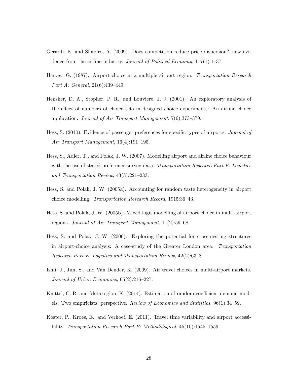- Gerardi, K. and Shapiro, A. (2009). Does competition reduce price dispersion? new evidence from the airline industry. *Journal of Political Economy*, 117(1):1–37.
- Harvey, G. (1987). Airport choice in a multiple airport region. Transportation Research Part A: General, 21(6):439–449.
- Hensher, D. A., Stopher, P. R., and Louviere, J. J. (2001). An exploratory analysis of the effect of numbers of choice sets in designed choice experiments: An airline choice application. Journal of Air Transport Management, 7(6):373–379.
- Hess, S. (2010). Evidence of passenger preferences for specific types of airports. Journal of Air Transport Management, 16(4):191–195.
- Hess, S., Adler, T., and Polak, J. W. (2007). Modelling airport and airline choice behaviour with the use of stated preference survey data. Transportation Research Part E: Logistics and Transportation Review, 43(3):221–233.
- Hess, S. and Polak, J. W. (2005a). Accounting for random taste heterogeneity in airport choice modelling. Transportation Research Record, 1915:36–43.
- Hess, S. and Polak, J. W. (2005b). Mixed logit modelling of airport choice in multi-airport regions. Journal of Air Transport Management, 11(2):59–68.
- Hess, S. and Polak, J. W. (2006). Exploring the potential for cross-nesting structures in airport-choice analysis: A case-study of the Greater London area. Transportation Research Part E: Logistics and Transportation Review, 42(2):63–81.
- Ishii, J., Jun, S., and Van Dender, K. (2009). Air travel choices in multi-airport markets. Journal of Urban Economics, 65(2):216–227.
- Knittel, C. R. and Metaxoglou, K. (2014). Estimation of random-coefficient demand models: Two empiricists' perspective. Review of Economics and Statistics, 96(1):34–59.
- Koster, P., Kroes, E., and Verhoef, E. (2011). Travel time variability and airport accessibility. Transportation Research Part B: Methodological, 45(10):1545-1559.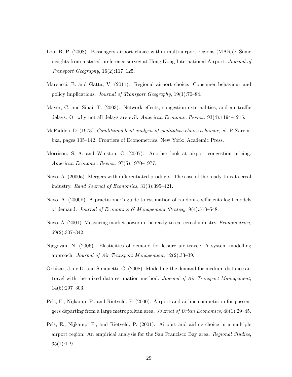- Loo, B. P. (2008). Passengers airport choice within multi-airport regions (MARs): Some insights from a stated preference survey at Hong Kong International Airport. Journal of Transport Geography, 16(2):117–125.
- Marcucci, E. and Gatta, V. (2011). Regional airport choice: Consumer behaviour and policy implications. Journal of Transport Geography, 19(1):70–84.
- Mayer, C. and Sinai, T. (2003). Network effects, congestion externalities, and air traffic delays: Or why not all delays are evil. American Economic Review, 93(4):1194–1215.
- McFadden, D. (1973). Conditional logit analysis of qualitative choice behavior, ed. P. Zarembka, pages 105–142. Frontiers of Econometrics. New York: Academic Press.
- Morrison, S. A. and Winston, C. (2007). Another look at airport congestion pricing. American Economic Review, 97(5):1970–1977.
- Nevo, A. (2000a). Mergers with differentiated products: The case of the ready-to-eat cereal industry. Rand Journal of Economics, 31(3):395–421.
- Nevo, A. (2000b). A practitioner's guide to estimation of random-coefficients logit models of demand. Journal of Economics & Management Strategy,  $9(4):513-548$ .
- Nevo, A. (2001). Measuring market power in the ready-to-eat cereal industry. Econometrica, 69(2):307–342.
- Njegovan, N. (2006). Elasticities of demand for leisure air travel: A system modelling approach. Journal of Air Transport Management, 12(2):33–39.
- Ortúzar, J. de D. and Simonetti, C. (2008). Modelling the demand for medium distance air travel with the mixed data estimation method. Journal of Air Transport Management, 14(6):297–303.
- Pels, E., Nijkamp, P., and Rietveld, P. (2000). Airport and airline competition for passengers departing from a large metropolitan area. Journal of Urban Economics, 48(1):29–45.
- Pels, E., Nijkamp, P., and Rietveld, P. (2001). Airport and airline choice in a multiple airport region: An empirical analysis for the San Francisco Bay area. Regional Studies,  $35(1):1-9.$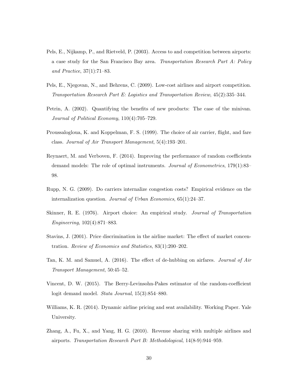- Pels, E., Nijkamp, P., and Rietveld, P. (2003). Access to and competition between airports: a case study for the San Francisco Bay area. Transportation Research Part A: Policy and Practice, 37(1):71–83.
- Pels, E., Njegovan, N., and Behrens, C. (2009). Low-cost airlines and airport competition. Transportation Research Part E: Logistics and Transportation Review, 45(2):335–344.
- Petrin, A. (2002). Quantifying the benefits of new products: The case of the minivan. Journal of Political Economy, 110(4):705–729.
- Proussalogloua, K. and Koppelman, F. S. (1999). The choice of air carrier, flight, and fare class. Journal of Air Transport Management, 5(4):193–201.
- Reynaert, M. and Verboven, F. (2014). Improving the performance of random coefficients demand models: The role of optimal instruments. *Journal of Econometrics*, 179(1):83– 98.
- Rupp, N. G. (2009). Do carriers internalize congestion costs? Empirical evidence on the internalization question. Journal of Urban Economics, 65(1):24–37.
- Skinner, R. E. (1976). Airport choice: An empirical study. Journal of Transportation Engineering, 102(4):871–883.
- Stavins, J. (2001). Price discrimination in the airline market: The effect of market concentration. Review of Economics and Statistics, 83(1):200–202.
- Tan, K. M. and Samuel, A. (2016). The effect of de-hubbing on airfares. Journal of Air Transport Management, 50:45–52.
- Vincent, D. W. (2015). The Berry-Levinsohn-Pakes estimator of the random-coefficient logit demand model. Stata Journal, 15(3):854–880.
- Williams, K. R. (2014). Dynamic airline pricing and seat availability. Working Paper. Yale University.
- Zhang, A., Fu, X., and Yang, H. G. (2010). Revenue sharing with multiple airlines and airports. Transportation Research Part B: Methodological, 14(8-9):944–959.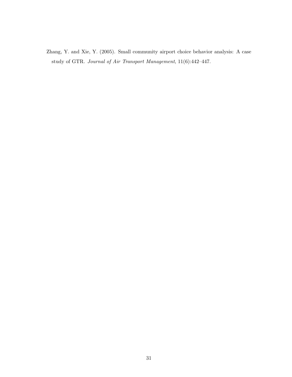Zhang, Y. and Xie, Y. (2005). Small community airport choice behavior analysis: A case study of GTR. Journal of Air Transport Management, 11(6):442–447.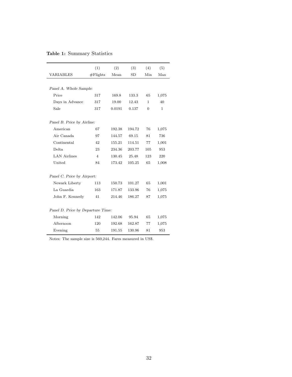## Table 1: Summary Statistics

|                                   | (1)            | (2)    | (3)       | (4)            | (5)   |  |
|-----------------------------------|----------------|--------|-----------|----------------|-------|--|
| <b>VARIABLES</b>                  | $#F$ lights    | Mean   | <b>SD</b> | Min            | Max   |  |
|                                   |                |        |           |                |       |  |
| Panel A. Whole Sample:            |                |        |           |                |       |  |
| Price                             | 317            | 169.8  | 133.3     | 65             | 1,075 |  |
| Days in Advance                   | 317            | 19.00  | 12.43     | $\mathbf{1}$   | 40    |  |
| Sale                              | 317            | 0.0191 | 0.137     | $\overline{0}$ | 1     |  |
|                                   |                |        |           |                |       |  |
| Panel B. Price by Airline:        |                |        |           |                |       |  |
| American                          | 67             | 192.38 | 194.72    | 76             | 1,075 |  |
| Air Canada                        | 97             | 144.57 | 69.15     | 81             | 736   |  |
| Continental                       | 42             | 155.21 | 114.51    | 77             | 1,001 |  |
| Delta.                            | 23             | 234.36 | 203.77    | 105            | 953   |  |
| <b>LAN Airlines</b>               | $\overline{4}$ | 130.45 | 25.48     | 123            | 220   |  |
| United                            | 84             | 173.42 | 105.25    | 65             | 1,008 |  |
|                                   |                |        |           |                |       |  |
| Panel C. Price by Airport:        |                |        |           |                |       |  |
| Newark Liberty                    | 113            | 150.73 | 101.27    | 65             | 1,001 |  |
| La Guardia                        | 163            | 171.87 | 133.96    | 76             | 1,075 |  |
| John F. Kennedy                   | 41             | 214.46 | 186.27    | 87             | 1,075 |  |
|                                   |                |        |           |                |       |  |
| Panel D. Price by Departure Time: |                |        |           |                |       |  |
| Morning                           | 142            | 142.06 | 95.94     | 65             | 1,075 |  |
| Afternoon                         | 120            | 192.68 | 162.87    | 77             | 1,075 |  |
| Evening                           | 55             | 191.55 | 130.96    | 81             | 953   |  |

Notes: The sample size is 560,244. Fares measured in US\$.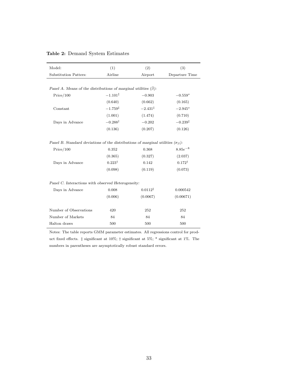| Model:                                                                                        | (1)                 | (2)                   | (3)                 |  |  |  |
|-----------------------------------------------------------------------------------------------|---------------------|-----------------------|---------------------|--|--|--|
| Substitution Patters:                                                                         | Airline             | Airport               | Departure Time      |  |  |  |
|                                                                                               |                     |                       |                     |  |  |  |
| Panel A. Means of the distributions of marginal utilities $(\bar{\beta})$ :                   |                     |                       |                     |  |  |  |
| Price/100                                                                                     | $-1.101^{\ddagger}$ | $-0.903$<br>$-0.559*$ |                     |  |  |  |
|                                                                                               | (0.640)             | (0.662)               | (0.165)             |  |  |  |
| Constant                                                                                      | $-1.759^{\ddagger}$ | $-2.431^{\ddagger}$   | $-2.945*$           |  |  |  |
|                                                                                               | (1.001)             | (1.474)               | (0.710)             |  |  |  |
| Days in Advance                                                                               | $-0.288^{\dagger}$  | $-0.202$              | $-0.239^{\ddagger}$ |  |  |  |
|                                                                                               | (0.136)             | (0.207)               | (0.126)             |  |  |  |
|                                                                                               |                     |                       |                     |  |  |  |
| Panel B. Standard deviations of the distributions of marginal utilities ( $\sigma_{\beta}$ ): |                     |                       |                     |  |  |  |
| Price/100                                                                                     | 0.352<br>0.368      |                       | $8.85e^{-8}$        |  |  |  |
|                                                                                               | (0.365)             | (0.327)               | (2.037)             |  |  |  |
| Days in Advance                                                                               | $0.223^{\dagger}$   | 0.142                 | $0.172^{\dagger}$   |  |  |  |
|                                                                                               | (0.098)             | (0.119)               | (0.073)             |  |  |  |
|                                                                                               |                     |                       |                     |  |  |  |
| Panel C. Interactions with observed Heterogeneity:                                            |                     |                       |                     |  |  |  |
| Days in Advance                                                                               | 0.008               | $0.0112^{\ddagger}$   | 0.000542            |  |  |  |
|                                                                                               | (0.006)             | (0.0067)              | (0.00671)           |  |  |  |
|                                                                                               |                     |                       |                     |  |  |  |
| Number of Observations                                                                        | 420                 | 252                   | 252                 |  |  |  |
| Number of Markets                                                                             | 84                  | 84                    | 84                  |  |  |  |
| Halton draws                                                                                  | 500                 | 500                   | 500                 |  |  |  |

#### Table 2: Demand System Estimates

Notes: The table reports GMM parameter estimates. All regressions control for product fixed effects. ‡ significant at 10%; † significant at 5%; \* significant at 1%. The numbers in parentheses are asymptotically robust standard errors.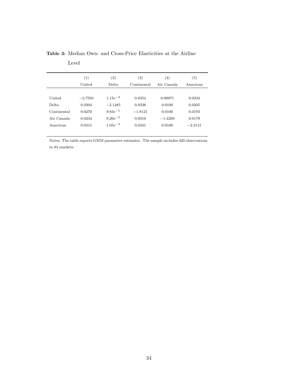|             | (1)       | $\left( 2\right)$ | $\left( 3\right)$ | (4)        | $\left( 5\right)$ |
|-------------|-----------|-------------------|-------------------|------------|-------------------|
|             | United    | Delta.            | Continental       | Air Canada | American          |
|             |           |                   |                   |            |                   |
| United      | $-2.7503$ | $1.15e^{-4}$      | 0.0354            | 0.00971    | 0.0234            |
| Delta.      | 0.0304    | $-2.1485$         | 0.0338            | 0.0100     | 0.0205            |
| Continental | 0.0270    | $9.83e^{-5}$      | $-1.8121$         | 0.0100     | 0.0193            |
| Air Canada  | 0.0234    | $9.20e^{-5}$      | 0.0316            | $-1.4269$  | 0.0179            |
| American    | 0.0315    | $1.05e^{-4}$      | 0.0341            | 0.0100     | $-2.2141$         |
|             |           |                   |                   |            |                   |

Table 3: Median Own- and Cross-Price Elasticities at the Airline

Level

Notes: The table reports GMM parameter estimates. The sample includes 420 observations in 84 markets.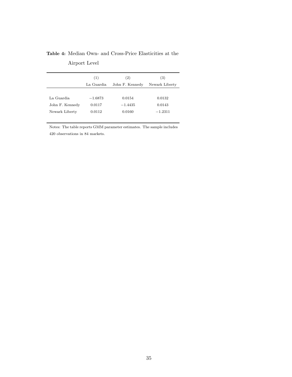|                 | (2)<br>(1) |                 | (3)            |  |
|-----------------|------------|-----------------|----------------|--|
|                 | La Guardia | John F. Kennedy | Newark Liberty |  |
|                 |            |                 |                |  |
| La Guardia      | $-1.6873$  | 0.0154          | 0.0132         |  |
| John F. Kennedy | 0.0117     | $-1.4435$       | 0.0143         |  |
| Newark Liberty  | 0.0112     | 0.0160          | $-1.2311$      |  |

Table 4: Median Own- and Cross-Price Elasticities at the

Airport Level

Notes: The table reports GMM parameter estimates. The sample includes 420 observations in 84 markets.